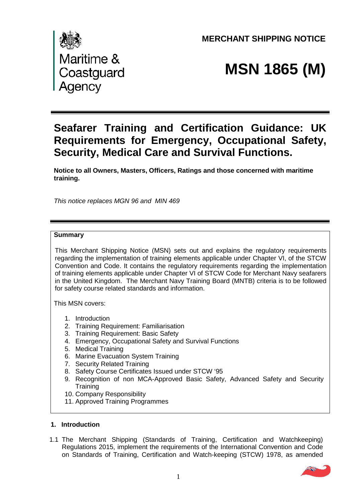**MERCHANT SHIPPING NOTICE** 



# **MSN 1865 (M)**

# **Seafarer Training and Certification Guidance: UK Requirements for Emergency, Occupational Safety, Security, Medical Care and Survival Functions.**

**Notice to all Owners, Masters, Officers, Ratings and those concerned with maritime training.**

*This notice replaces MGN 96 and MIN 469*

#### **Summary**

This Merchant Shipping Notice (MSN) sets out and explains the regulatory requirements regarding the implementation of training elements applicable under Chapter VI, of the STCW Convention and Code. It contains the regulatory requirements regarding the implementation of training elements applicable under Chapter VI of STCW Code for Merchant Navy seafarers in the United Kingdom. The Merchant Navy Training Board (MNTB) criteria is to be followed for safety course related standards and information.

This MSN covers:

- 1. Introduction
- 2. Training Requirement: Familiarisation
- 3. Training Requirement: Basic Safety
- 4. Emergency, Occupational Safety and Survival Functions
- 5. Medical Training
- 6. Marine Evacuation System Training
- 7. Security Related Training
- 8. Safety Course Certificates Issued under STCW '95
- 9. Recognition of non MCA-Approved Basic Safety, Advanced Safety and Security **Training**
- 10. Company Responsibility
- 11. Approved Training Programmes

#### **1. Introduction**

1.1 The Merchant Shipping (Standards of Training, Certification and Watchkeeping) Regulations 2015, implement the requirements of the International Convention and Code on Standards of Training, Certification and Watch-keeping (STCW) 1978, as amended

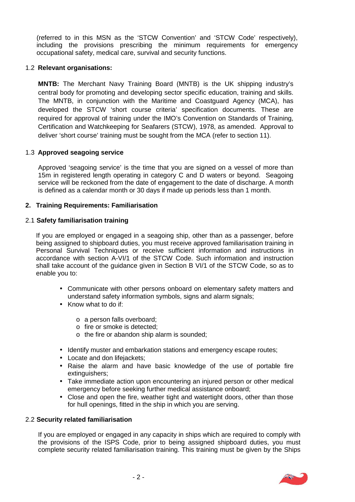(referred to in this MSN as the 'STCW Convention' and 'STCW Code' respectively), including the provisions prescribing the minimum requirements for emergency occupational safety, medical care, survival and security functions.

#### 1.2 **Relevant organisations:**

**MNTB:** The Merchant Navy Training Board (MNTB) is the UK shipping industry's central body for promoting and developing sector specific education, training and skills. The MNTB, in conjunction with the Maritime and Coastguard Agency (MCA), has developed the STCW 'short course criteria' specification documents. These are required for approval of training under the IMO's Convention on Standards of Training, Certification and Watchkeeping for Seafarers (STCW), 1978, as amended. Approval to deliver 'short course' training must be sought from the MCA (refer to section 11).

#### 1.3 **Approved seagoing service**

Approved 'seagoing service' is the time that you are signed on a vessel of more than 15m in registered length operating in category C and D waters or beyond. Seagoing service will be reckoned from the date of engagement to the date of discharge. A month is defined as a calendar month or 30 days if made up periods less than 1 month.

#### **2. Training Requirements: Familiarisation**

#### 2.1 **Safety familiarisation training**

If you are employed or engaged in a seagoing ship, other than as a passenger, before being assigned to shipboard duties, you must receive approved familiarisation training in Personal Survival Techniques or receive sufficient information and instructions in accordance with section A-VI/1 of the STCW Code. Such information and instruction shall take account of the guidance given in Section B VI/1 of the STCW Code, so as to enable you to:

- Communicate with other persons onboard on elementary safety matters and understand safety information symbols, signs and alarm signals;
- Know what to do if
	- o a person falls overboard;
	- o fire or smoke is detected;
	- o the fire or abandon ship alarm is sounded;
- Identify muster and embarkation stations and emergency escape routes;
- Locate and don lifejackets:
- Raise the alarm and have basic knowledge of the use of portable fire extinguishers;
- Take immediate action upon encountering an injured person or other medical emergency before seeking further medical assistance onboard;
- Close and open the fire, weather tight and watertight doors, other than those for hull openings, fitted in the ship in which you are serving.

#### 2.2 **Security related familiarisation**

If you are employed or engaged in any capacity in ships which are required to comply with the provisions of the ISPS Code, prior to being assigned shipboard duties, you must complete security related familiarisation training. This training must be given by the Ships

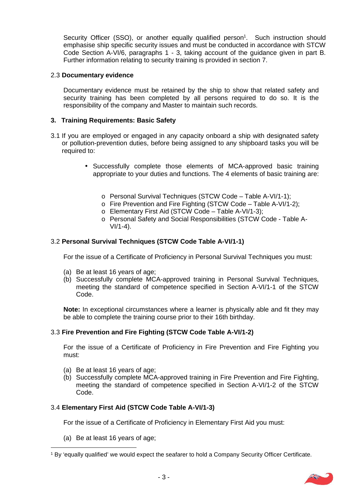Security Officer (SSO), or another equally qualified person<sup>1</sup>. Such instruction should emphasise ship specific security issues and must be conducted in accordance with STCW Code Section A-VI/6, paragraphs 1 - 3, taking account of the guidance given in part B. Further information relating to security training is provided in section 7.

#### 2.3 **Documentary evidence**

Documentary evidence must be retained by the ship to show that related safety and security training has been completed by all persons required to do so. It is the responsibility of the company and Master to maintain such records.

#### **3. Training Requirements: Basic Safety**

- 3.1 If you are employed or engaged in any capacity onboard a ship with designated safety or pollution-prevention duties, before being assigned to any shipboard tasks you will be required to:
	- Successfully complete those elements of MCA-approved basic training appropriate to your duties and functions. The 4 elements of basic training are:
		- o Personal Survival Techniques (STCW Code Table A-VI/1-1);
		- o Fire Prevention and Fire Fighting (STCW Code Table A-VI/1-2);
		- o Elementary First Aid (STCW Code Table A-VI/1-3);
		- o Personal Safety and Social Responsibilities (STCW Code Table A-  $V1/1-4$ ).

#### 3.2 **Personal Survival Techniques (STCW Code Table A-VI/1-1)**

For the issue of a Certificate of Proficiency in Personal Survival Techniques you must:

- (a) Be at least 16 years of age:
- (b) Successfully complete MCA-approved training in Personal Survival Techniques, meeting the standard of competence specified in Section A-VI/1-1 of the STCW Code.

**Note:** In exceptional circumstances where a learner is physically able and fit they may be able to complete the training course prior to their 16th birthday.

#### 3.3 **Fire Prevention and Fire Fighting (STCW Code Table A-VI/1-2)**

For the issue of a Certificate of Proficiency in Fire Prevention and Fire Fighting you must:

- (a) Be at least 16 years of age;
- (b) Successfully complete MCA-approved training in Fire Prevention and Fire Fighting, meeting the standard of competence specified in Section A-VI/1-2 of the STCW Code.

#### 3.4 **Elementary First Aid (STCW Code Table A-VI/1-3)**

For the issue of a Certificate of Proficiency in Elementary First Aid you must:

(a) Be at least 16 years of age;

<sup>1</sup> By 'equally qualified' we would expect the seafarer to hold a Company Security Officer Certificate.

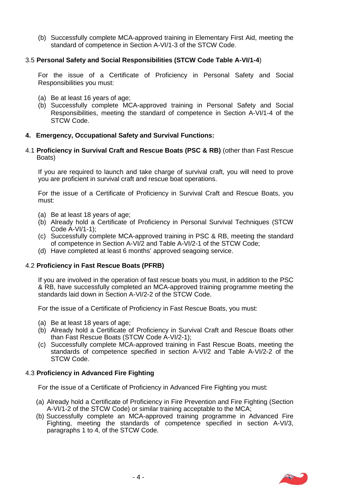(b) Successfully complete MCA-approved training in Elementary First Aid, meeting the standard of competence in Section A-VI/1-3 of the STCW Code.

#### 3.5 **Personal Safety and Social Responsibilities (STCW Code Table A-VI/1-4**)

For the issue of a Certificate of Proficiency in Personal Safety and Social Responsibilities you must:

- (a) Be at least 16 years of age;
- (b) Successfully complete MCA-approved training in Personal Safety and Social Responsibilities, meeting the standard of competence in Section A-VI/1-4 of the STCW Code.

#### **4. Emergency, Occupational Safety and Survival Functions:**

4.1 **Proficiency in Survival Craft and Rescue Boats (PSC & RB)** (other than Fast Rescue Boats)

If you are required to launch and take charge of survival craft, you will need to prove you are proficient in survival craft and rescue boat operations.

For the issue of a Certificate of Proficiency in Survival Craft and Rescue Boats, you must:

- (a) Be at least 18 years of age;
- (b) Already hold a Certificate of Proficiency in Personal Survival Techniques (STCW Code A-VI/1-1);
- (c) Successfully complete MCA-approved training in PSC & RB, meeting the standard of competence in Section A-VI/2 and Table A-VI/2-1 of the STCW Code;
- (d) Have completed at least 6 months' approved seagoing service.

#### 4.2 **Proficiency in Fast Rescue Boats (PFRB)**

If you are involved in the operation of fast rescue boats you must, in addition to the PSC & RB, have successfully completed an MCA-approved training programme meeting the standards laid down in Section A-VI/2-2 of the STCW Code.

For the issue of a Certificate of Proficiency in Fast Rescue Boats, you must:

- (a) Be at least 18 years of age;
- (b) Already hold a Certificate of Proficiency in Survival Craft and Rescue Boats other than Fast Rescue Boats (STCW Code A-VI/2-1);
- (c) Successfully complete MCA-approved training in Fast Rescue Boats, meeting the standards of competence specified in section A-VI/2 and Table A-VI/2-2 of the STCW Code.

#### 4.3 **Proficiency in Advanced Fire Fighting**

For the issue of a Certificate of Proficiency in Advanced Fire Fighting you must:

- (a) Already hold a Certificate of Proficiency in Fire Prevention and Fire Fighting (Section A-VI/1-2 of the STCW Code) or similar training acceptable to the MCA;
- (b) Successfully complete an MCA-approved training programme in Advanced Fire Fighting, meeting the standards of competence specified in section A-VI/3, paragraphs 1 to 4, of the STCW Code.

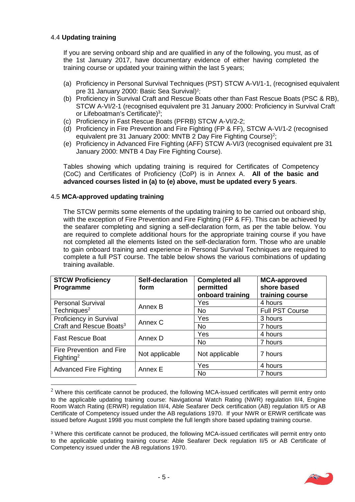#### 4.4 **Updating training**

If you are serving onboard ship and are qualified in any of the following, you must, as of the 1st January 2017, have documentary evidence of either having completed the training course or updated your training within the last 5 years;

- (a) Proficiency in Personal Survival Techniques (PST) STCW A-VI/1-1, (recognised equivalent pre 31 January 2000: Basic Sea Survival)<sup>2</sup> ;
- (b) Proficiency in Survival Craft and Rescue Boats other than Fast Rescue Boats (PSC & RB), STCW A-VI/2-1 (recognised equivalent pre 31 January 2000: Proficiency in Survival Craft or Lifeboatman's Certificate)<sup>3</sup>;
- (c) Proficiency in Fast Rescue Boats (PFRB) STCW A-VI/2-2;
- (d) Proficiency in Fire Prevention and Fire Fighting (FP & FF), STCW A-VI/1-2 (recognised equivalent pre 31 January 2000: MNTB 2 Day Fire Fighting Course)<sup>2</sup>;
- (e) Proficiency in Advanced Fire Fighting (AFF) STCW A-VI/3 (recognised equivalent pre 31 January 2000: MNTB 4 Day Fire Fighting Course).

Tables showing which updating training is required for Certificates of Competency (CoC) and Certificates of Proficiency (CoP) is in Annex A. **All of the basic and advanced courses listed in (a) to (e) above, must be updated every 5 years**.

#### 4.5 **MCA-approved updating training**

The STCW permits some elements of the updating training to be carried out onboard ship, with the exception of Fire Prevention and Fire Fighting (FP & FF). This can be achieved by the seafarer completing and signing a self-declaration form, as per the table below. You are required to complete additional hours for the appropriate training course if you have not completed all the elements listed on the self-declaration form. Those who are unable to gain onboard training and experience in Personal Survival Techniques are required to complete a full PST course. The table below shows the various combinations of updating training available.

| <b>STCW Proficiency</b><br>Programme         | <b>Self-declaration</b><br>form | <b>Completed all</b><br>permitted<br>onboard training | <b>MCA-approved</b><br>shore based<br>training course |
|----------------------------------------------|---------------------------------|-------------------------------------------------------|-------------------------------------------------------|
| <b>Personal Survival</b>                     | Annex B                         | Yes                                                   | 4 hours                                               |
| Techniques <sup>2</sup>                      |                                 | <b>No</b>                                             | <b>Full PST Course</b>                                |
| Proficiency in Survival                      | Annex C                         | Yes                                                   | 3 hours                                               |
| Craft and Rescue Boats <sup>3</sup>          |                                 | <b>No</b>                                             | 7 hours                                               |
| Annex D                                      |                                 | Yes                                                   | 4 hours                                               |
| <b>Fast Rescue Boat</b>                      |                                 | <b>No</b>                                             | 7 hours                                               |
| Fire Prevention and Fire<br>${\rm Figure 2}$ | Not applicable                  | Not applicable                                        | 7 hours                                               |
|                                              | Annex E                         | Yes                                                   | 4 hours                                               |
| <b>Advanced Fire Fighting</b>                |                                 | <b>No</b>                                             | 7 hours                                               |

 $2$  Where this certificate cannot be produced, the following MCA-issued certificates will permit entry onto to the applicable updating training course: Navigational Watch Rating (NWR) regulation II/4, Engine Room Watch Rating (ERWR) regulation III/4, Able Seafarer Deck certification (AB) regulation II/5 or AB Certificate of Competency issued under the AB regulations 1970. If your NWR or ERWR certificate was issued before August 1998 you must complete the full length shore based updating training course.

<sup>&</sup>lt;sup>3</sup> Where this certificate cannot be produced, the following MCA-issued certificates will permit entry onto to the applicable updating training course: Able Seafarer Deck regulation II/5 or AB Certificate of Competency issued under the AB regulations 1970.

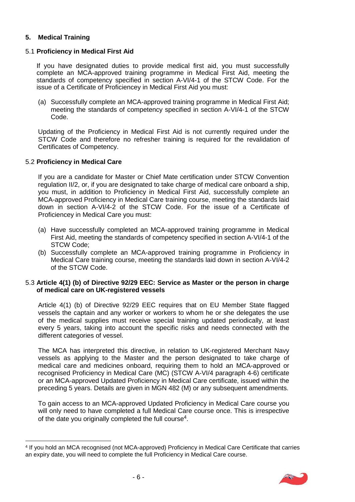#### **5. Medical Training**

#### 5.1 **Proficiency in Medical First Aid**

If you have designated duties to provide medical first aid, you must successfully complete an MCA-approved training programme in Medical First Aid, meeting the standards of competency specified in section A-VI/4-1 of the STCW Code. For the issue of a Certificate of Proficiencey in Medical First Aid you must:

(a) Successfully complete an MCA-approved training programme in Medical First Aid; meeting the standards of competency specified in section A-VI/4-1 of the STCW Code.

Updating of the Proficiency in Medical First Aid is not currently required under the STCW Code and therefore no refresher training is required for the revalidation of Certificates of Competency.

#### 5.2 **Proficiency in Medical Care**

If you are a candidate for Master or Chief Mate certification under STCW Convention regulation II/2, or, if you are designated to take charge of medical care onboard a ship, you must, in addition to Proficiency in Medical First Aid, successfully complete an MCA-approved Proficiency in Medical Care training course, meeting the standards laid down in section A-VI/4-2 of the STCW Code. For the issue of a Certificate of Proficiencey in Medical Care you must:

- (a) Have successfully completed an MCA-approved training programme in Medical First Aid, meeting the standards of competency specified in section A-VI/4-1 of the STCW Code;
- (b) Successfully complete an MCA-approved training programme in Proficiency in Medical Care training course, meeting the standards laid down in section A-VI/4-2 of the STCW Code.

#### 5.3 **Article 4(1) (b) of Directive 92/29 EEC: Service as Master or the person in charge of medical care on UK-registered vessels**

Article 4(1) (b) of Directive 92/29 EEC requires that on EU Member State flagged vessels the captain and any worker or workers to whom he or she delegates the use of the medical supplies must receive special training updated periodically, at least every 5 years, taking into account the specific risks and needs connected with the different categories of vessel.

The MCA has interpreted this directive, in relation to UK-registered Merchant Navy vessels as applying to the Master and the person designated to take charge of medical care and medicines onboard, requiring them to hold an MCA-approved or recognised Proficiency in Medical Care (MC) (STCW A-VI/4 paragraph 4-6) certificate or an MCA-approved Updated Proficiency in Medical Care certificate, issued within the preceding 5 years. Details are given in MGN 482 (M) or any subsequent amendments.

To gain access to an MCA-approved Updated Proficiency in Medical Care course you will only need to have completed a full Medical Care course once. This is irrespective of the date you originally completed the full course<sup>4</sup>.

<sup>4</sup> If you hold an MCA recognised (not MCA-approved) Proficiency in Medical Care Certificate that carries an expiry date, you will need to complete the full Proficiency in Medical Care course.

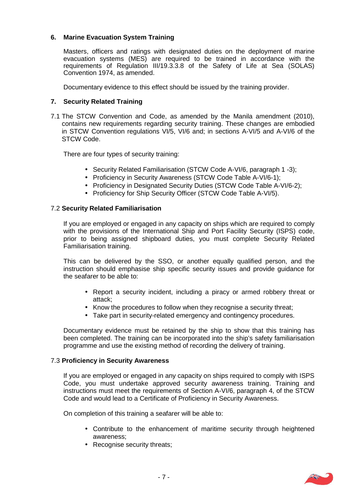#### **6. Marine Evacuation System Training**

Masters, officers and ratings with designated duties on the deployment of marine evacuation systems (MES) are required to be trained in accordance with the requirements of Regulation III/19.3.3.8 of the Safety of Life at Sea (SOLAS) Convention 1974, as amended.

Documentary evidence to this effect should be issued by the training provider.

#### **7. Security Related Training**

7.1 The STCW Convention and Code, as amended by the Manila amendment (2010), contains new requirements regarding security training. These changes are embodied in STCW Convention regulations VI/5, VI/6 and; in sections A-VI/5 and A-VI/6 of the STCW Code.

There are four types of security training:

- Security Related Familiarisation (STCW Code A-VI/6, paragraph 1 -3);
- Proficiency in Security Awareness (STCW Code Table A-VI/6-1);
- Proficiency in Designated Security Duties (STCW Code Table A-VI/6-2);
- Proficiency for Ship Security Officer (STCW Code Table A-VI/5).

#### 7.2 **Security Related Familiarisation**

If you are employed or engaged in any capacity on ships which are required to comply with the provisions of the International Ship and Port Facility Security (ISPS) code, prior to being assigned shipboard duties, you must complete Security Related Familiarisation training.

This can be delivered by the SSO, or another equally qualified person, and the instruction should emphasise ship specific security issues and provide guidance for the seafarer to be able to:

- Report a security incident, including a piracy or armed robbery threat or attack;
- Know the procedures to follow when they recognise a security threat;
- Take part in security-related emergency and contingency procedures.

Documentary evidence must be retained by the ship to show that this training has been completed. The training can be incorporated into the ship's safety familiarisation programme and use the existing method of recording the delivery of training.

#### 7.3 **Proficiency in Security Awareness**

If you are employed or engaged in any capacity on ships required to comply with ISPS Code, you must undertake approved security awareness training. Training and instructions must meet the requirements of Section A-VI/6, paragraph 4, of the STCW Code and would lead to a Certificate of Proficiency in Security Awareness.

On completion of this training a seafarer will be able to:

- Contribute to the enhancement of maritime security through heightened awareness;
- Recognise security threats;

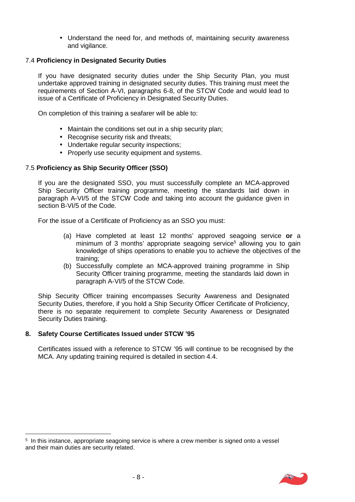Understand the need for, and methods of, maintaining security awareness and vigilance.

#### 7.4 **Proficiency in Designated Security Duties**

If you have designated security duties under the Ship Security Plan, you must undertake approved training in designated security duties. This training must meet the requirements of Section A-VI, paragraphs 6-8, of the STCW Code and would lead to issue of a Certificate of Proficiency in Designated Security Duties.

On completion of this training a seafarer will be able to:

- Maintain the conditions set out in a ship security plan;
- Recognise security risk and threats;
- Undertake regular security inspections:
- Properly use security equipment and systems.

#### 7.5 **Proficiency as Ship Security Officer (SSO)**

If you are the designated SSO, you must successfully complete an MCA-approved Ship Security Officer training programme, meeting the standards laid down in paragraph A-VI/5 of the STCW Code and taking into account the guidance given in section B-VI/5 of the Code.

For the issue of a Certificate of Proficiency as an SSO you must:

- (a) Have completed at least 12 months' approved seagoing service **or** a minimum of 3 months' appropriate seagoing service<sup>5</sup> allowing you to gain knowledge of ships operations to enable you to achieve the objectives of the training;
- (b) Successfully complete an MCA-approved training programme in Ship Security Officer training programme, meeting the standards laid down in paragraph A-VI/5 of the STCW Code.

Ship Security Officer training encompasses Security Awareness and Designated Security Duties, therefore, if you hold a Ship Security Officer Certificate of Proficiency, there is no separate requirement to complete Security Awareness or Designated Security Duties training.

#### **8. Safety Course Certificates Issued under STCW '95**

Certificates issued with a reference to STCW '95 will continue to be recognised by the MCA. Any updating training required is detailed in section 4.4.

 $^{\rm 5}$  In this instance, appropriate seagoing service is where a crew member is signed onto a vessel and their main duties are security related.

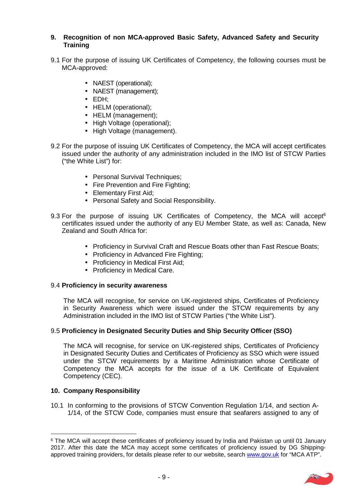#### **9. Recognition of non MCA-approved Basic Safety, Advanced Safety and Security Training**

- 9.1 For the purpose of issuing UK Certificates of Competency, the following courses must be MCA-approved:
	- NAEST (operational):
	- NAEST (management):
	- EDH;
	- HELM (operational);
	- HELM (management):
	- High Voltage (operational);
	- High Voltage (management).
- 9.2 For the purpose of issuing UK Certificates of Competency, the MCA will accept certificates issued under the authority of any administration included in the IMO list of STCW Parties ("the White List") for:
	- Personal Survival Techniques;
	- Fire Prevention and Fire Fighting;
	- Elementary First Aid:
	- Personal Safety and Social Responsibility.
- 9.3 For the purpose of issuing UK Certificates of Competency, the MCA will accept<sup>6</sup> certificates issued under the authority of any EU Member State, as well as: Canada, New Zealand and South Africa for:
	- Proficiency in Survival Craft and Rescue Boats other than Fast Rescue Boats;
	- Proficiency in Advanced Fire Fighting:
	- Proficiency in Medical First Aid;
	- Proficiency in Medical Care.

#### 9.4 **Proficiency in security awareness**

The MCA will recognise, for service on UK-registered ships, Certificates of Proficiency in Security Awareness which were issued under the STCW requirements by any Administration included in the IMO list of STCW Parties ("the White List").

#### 9.5 **Proficiency in Designated Security Duties and Ship Security Officer (SSO)**

The MCA will recognise, for service on UK-registered ships, Certificates of Proficiency in Designated Security Duties and Certificates of Proficiency as SSO which were issued under the STCW requirements by a Maritime Administration whose Certificate of Competency the MCA accepts for the issue of a UK Certificate of Equivalent Competency (CEC).

#### **10. Company Responsibility**

10.1 In conforming to the provisions of STCW Convention Regulation 1/14, and section A- 1/14, of the STCW Code, companies must ensure that seafarers assigned to any of

<sup>&</sup>lt;sup>6</sup> The MCA will accept these certificates of proficiency issued by India and Pakistan up until 01 January 2017. After this date the MCA may accept some certificates of proficiency issued by DG Shipping approved training providers, for details please refer to our website, search www.gov.uk for "MCA ATP".

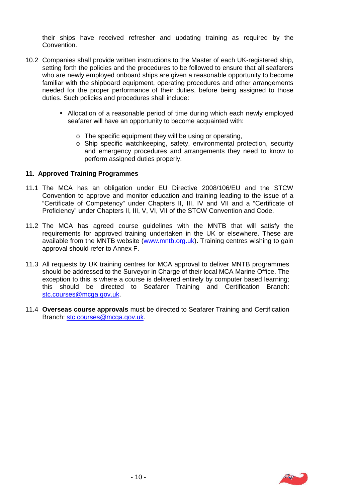their ships have received refresher and updating training as required by the Convention.

- 10.2 Companies shall provide written instructions to the Master of each UK-registered ship, setting forth the policies and the procedures to be followed to ensure that all seafarers who are newly employed onboard ships are given a reasonable opportunity to become familiar with the shipboard equipment, operating procedures and other arrangements needed for the proper performance of their duties, before being assigned to those duties. Such policies and procedures shall include:
	- Allocation of a reasonable period of time during which each newly employed seafarer will have an opportunity to become acquainted with:
		- o The specific equipment they will be using or operating,
		- o Ship specific watchkeeping, safety, environmental protection, security and emergency procedures and arrangements they need to know to perform assigned duties properly.

#### **11. Approved Training Programmes**

- 11.1 The MCA has an obligation under EU Directive 2008/106/EU and the STCW Convention to approve and monitor education and training leading to the issue of a "Certificate of Competency" under Chapters II, III, IV and VII and a "Certificate of Proficiency" under Chapters II, III, V, VI, VII of the STCW Convention and Code.
- 11.2 The MCA has agreed course guidelines with the MNTB that will satisfy the requirements for approved training undertaken in the UK or elsewhere. These are available from the MNTB website (www.mntb.org.uk). Training centres wishing to gain approval should refer to Annex F.
- 11.3 All requests by UK training centres for MCA approval to deliver MNTB programmes should be addressed to the Surveyor in Charge of their local MCA Marine Office. The exception to this is where a course is delivered entirely by computer based learning; this should be directed to Seafarer Training and Certification Branch: stc.courses@mcga.gov.uk.
- 11.4 **Overseas course approvals** must be directed to Seafarer Training and Certification Branch: stc.courses@mcga.gov.uk.

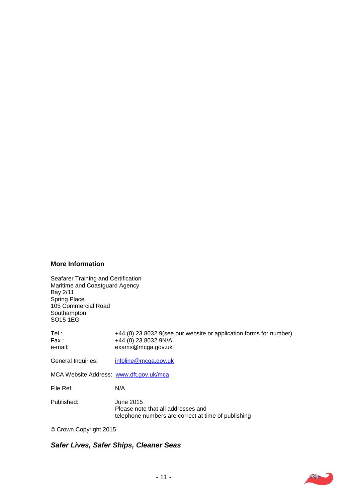#### **More Information**

Seafarer Training and Certification Maritime and Coastguard Agency, Bay 2/11 Spring Place, 105 Commercial Road, **Southampton** SO15 1EG.

| Tel:<br>Fax :<br>e-mail:                | +44 (0) 23 8032 9(see our website or application forms for number)<br>+44 (0) 23 8032 9N/A<br>exams@mcga.gov.uk |
|-----------------------------------------|-----------------------------------------------------------------------------------------------------------------|
| General Inquiries:                      | infoline@mcga.gov.uk                                                                                            |
| MCA Website Address: www.dft.gov.uk/mca |                                                                                                                 |
| File Ref:                               | N/A                                                                                                             |
| Published:                              | June 2015<br>Please note that all addresses and<br>telephone numbers are correct at time of publishing          |

© Crown Copyright 2015.

### *Safer Lives, Safer Ships, Cleaner Seas.*

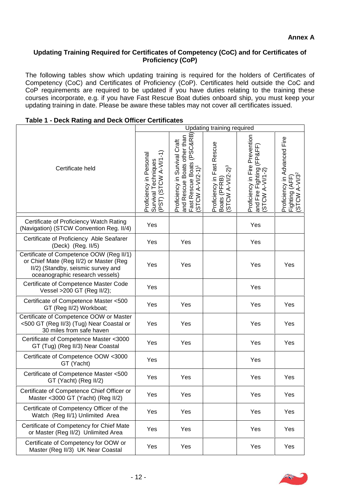#### **Updating Training Required for Certificates of Competency (CoC) and for Certificates of Proficiency (CoP)**

The following tables show which updating training is required for the holders of Certificates of Competency (CoC) and Certificates of Proficiency (CoP). Certificates held outside the CoC and CoP requirements are required to be updated if you have duties relating to the training these courses incorporate, e.g. if you have Fast Rescue Boat duties onboard ship, you must keep your updating training in date. Please be aware these tables may not cover all certificates issued.

|                                                                                                                                                              |                                                                            |                                                                                                                                | Updating training required                                        |                                                                                   |                                                                                          |
|--------------------------------------------------------------------------------------------------------------------------------------------------------------|----------------------------------------------------------------------------|--------------------------------------------------------------------------------------------------------------------------------|-------------------------------------------------------------------|-----------------------------------------------------------------------------------|------------------------------------------------------------------------------------------|
| Certificate held                                                                                                                                             | (STCW A-VI/1-1)<br>Proficiency in Personal<br>Survival Techniques<br>(PST) | and Rescue Boats other than<br>Fast Rescue Boats (PSC&RB<br>Proficiency in Survival Craft<br><b>STCW A-VI/2-1)<sup>1</sup></b> | Proficiency in Fast Rescue<br>$(STCW A-V1/2-2)^3$<br>Boats (PFRB) | Proficiency in Fire Prevention<br>(FP&FF)<br>and Fire Fighting<br>(STCW A-VI/1-2) | Proficiency in Advanced Fire<br>$A-V1/32$<br>Fighting (AFF)<br>(STCW A-VI/3 <sup>2</sup> |
| Certificate of Proficiency Watch Rating<br>(Navigation) (STCW Convention Reg. II/4)                                                                          | Yes                                                                        |                                                                                                                                |                                                                   | Yes                                                                               |                                                                                          |
| Certificate of Proficiency Able Seafarer<br>(Deck) (Reg. II/5)                                                                                               | Yes                                                                        | Yes                                                                                                                            |                                                                   | Yes                                                                               |                                                                                          |
| Certificate of Competence OOW (Reg II/1)<br>or Chief Mate (Reg II/2) or Master (Reg<br>II/2) (Standby, seismic survey and<br>oceanographic research vessels) | Yes                                                                        | Yes                                                                                                                            |                                                                   | Yes                                                                               | Yes                                                                                      |
| Certificate of Competence Master Code<br>Vessel >200 GT (Reg II/2);                                                                                          | Yes                                                                        |                                                                                                                                |                                                                   | Yes                                                                               |                                                                                          |
| Certificate of Competence Master <500<br>GT (Reg II/2) Workboat;                                                                                             | Yes                                                                        | Yes                                                                                                                            |                                                                   | Yes                                                                               | Yes                                                                                      |
| Certificate of Competence OOW or Master<br><500 GT (Reg II/3) (Tug) Near Coastal or<br>30 miles from safe haven                                              | Yes                                                                        | Yes                                                                                                                            |                                                                   | Yes                                                                               | Yes                                                                                      |
| Certificate of Competence Master <3000<br>GT (Tug) (Reg II/3) Near Coastal                                                                                   | Yes                                                                        | Yes                                                                                                                            |                                                                   | Yes                                                                               | Yes                                                                                      |
| Certificate of Competence OOW <3000<br>GT (Yacht)                                                                                                            | Yes                                                                        |                                                                                                                                |                                                                   | Yes                                                                               |                                                                                          |
| Certificate of Competence Master <500<br>GT (Yacht) (Reg II/2)                                                                                               | Yes                                                                        | Yes                                                                                                                            |                                                                   | Yes                                                                               | Yes                                                                                      |
| Certificate of Competence Chief Officer or<br>Master <3000 GT (Yacht) (Reg II/2)                                                                             | Yes                                                                        | Yes                                                                                                                            |                                                                   | Yes                                                                               | Yes                                                                                      |
| Certificate of Competency Officer of the<br>Watch (Reg II/1) Unlimited Area                                                                                  | Yes                                                                        | Yes                                                                                                                            |                                                                   | Yes                                                                               | Yes                                                                                      |
| Certificate of Competency for Chief Mate<br>or Master (Reg II/2) Unlimited Area                                                                              | Yes                                                                        | Yes                                                                                                                            |                                                                   | Yes                                                                               | Yes                                                                                      |
| Certificate of Competency for OOW or<br>Master (Reg II/3) UK Near Coastal                                                                                    | Yes                                                                        | Yes                                                                                                                            |                                                                   | Yes                                                                               | Yes                                                                                      |

#### **Table 1 - Deck Rating and Deck Officer Certificates**

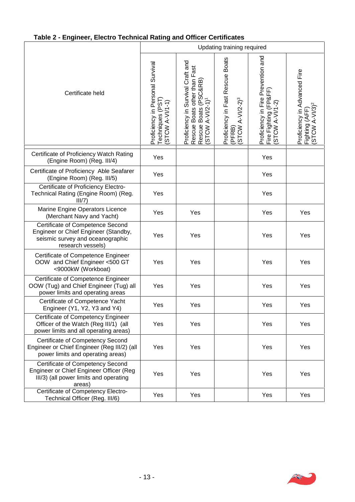## **Table 2 - Engineer, Electro Technical Rating and Officer Certificates**

|                                                                                                                                   | Updating training required                                               |                                                                                                                            |                                                                                      |                                                                                |                                                                              |
|-----------------------------------------------------------------------------------------------------------------------------------|--------------------------------------------------------------------------|----------------------------------------------------------------------------------------------------------------------------|--------------------------------------------------------------------------------------|--------------------------------------------------------------------------------|------------------------------------------------------------------------------|
| Certificate held                                                                                                                  | Proficiency in Personal Survival<br>Techniques (PST)<br>두<br>STCW A-VI/1 | Proficiency in Survival Craft and<br>Rescue Boats other than Fast<br>Rescue Boats (PSC&RB)<br>(STCW A-VI/2-1) <sup>1</sup> | <b>Boats</b><br>Proficiency in Fast Rescue<br>(PFRB)<br>(STCW A-VI/2-2) <sup>3</sup> | Proficiency in Fire Prevention and<br>Fire Fighting (FP&FF)<br>(STCW A-VI/1-2) | Proficiency in Advanced Fire<br>Fighting (AFF)<br>(STCW A-VI/3) <sup>2</sup> |
| Certificate of Proficiency Watch Rating<br>(Engine Room) (Reg. III/4)                                                             | Yes                                                                      |                                                                                                                            |                                                                                      | Yes                                                                            |                                                                              |
| Certificate of Proficiency Able Seafarer<br>(Engine Room) (Reg. III/5)                                                            | Yes                                                                      |                                                                                                                            |                                                                                      | Yes                                                                            |                                                                              |
| Certificate of Proficiency Electro-<br>Technical Rating (Engine Room) (Reg.<br>III/7)                                             | Yes                                                                      |                                                                                                                            |                                                                                      | Yes                                                                            |                                                                              |
| Marine Engine Operators Licence<br>(Merchant Navy and Yacht)                                                                      | Yes                                                                      | Yes                                                                                                                        |                                                                                      | Yes                                                                            | Yes                                                                          |
| Certificate of Competence Second<br>Engineer or Chief Engineer (Standby,<br>seismic survey and oceanographic<br>research vessels) | Yes                                                                      | Yes                                                                                                                        |                                                                                      | Yes                                                                            | Yes                                                                          |
| Certificate of Competence Engineer<br>OOW and Chief Engineer <500 GT<br><9000kW (Workboat)                                        | Yes                                                                      | Yes                                                                                                                        |                                                                                      | Yes                                                                            | Yes                                                                          |
| Certificate of Competence Engineer<br>OOW (Tug) and Chief Engineer (Tug) all<br>power limits and operating areas                  | Yes                                                                      | Yes                                                                                                                        |                                                                                      | Yes                                                                            | Yes                                                                          |
| Certificate of Competence Yacht<br>Engineer (Y1, Y2, Y3 and Y4)                                                                   | Yes                                                                      | Yes                                                                                                                        |                                                                                      | Yes                                                                            | Yes                                                                          |
| Certificate of Competency Engineer<br>Officer of the Watch (Reg III/1) (all<br>power limits and all operating areas)              | Yes                                                                      | Yes                                                                                                                        |                                                                                      | Yes                                                                            | Yes                                                                          |
| Certificate of Competency Second<br>Engineer or Chief Engineer (Reg III/2) (all<br>power limits and operating areas)              | Yes                                                                      | Yes                                                                                                                        |                                                                                      | Yes                                                                            | Yes                                                                          |
| Certificate of Competency Second<br>Engineer or Chief Engineer Officer (Reg<br>III/3) (all power limits and operating<br>areas)   | Yes                                                                      | Yes                                                                                                                        |                                                                                      | Yes                                                                            | Yes                                                                          |
| Certificate of Competency Electro-<br>Technical Officer (Reg. III/6)                                                              | Yes                                                                      | Yes                                                                                                                        |                                                                                      | Yes                                                                            | Yes                                                                          |

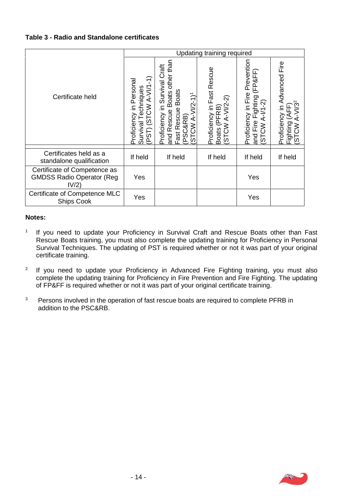#### **Table 3 - Radio and Standalone certificates**

|                                                                           |                                                                                                                            | Updating training required                                                                                                                                                            |                                                                                        |                                                                                                            |                                                                                                      |
|---------------------------------------------------------------------------|----------------------------------------------------------------------------------------------------------------------------|---------------------------------------------------------------------------------------------------------------------------------------------------------------------------------------|----------------------------------------------------------------------------------------|------------------------------------------------------------------------------------------------------------|------------------------------------------------------------------------------------------------------|
| Certificate held                                                          | Ë<br>Personal<br>$A-VII$<br>niques<br>⋛<br>동<br>⊇.<br>Proficiency<br>$\overline{\omega}$<br>ত<br>TST <sub>1</sub><br>Survi | than<br>tat<br>other<br>Survival<br><b>Boats</b><br><b>Boats</b><br>$(5 - 1)^{1}$<br>⊆<br>Φ<br>Rescue<br>Rescue<br>Proficiency<br><b>(SRR)</b><br>⋖<br>$\lesssim$<br>Fast<br>ŏ<br>and | Fast Rescue<br>ଦ୍<br>$A-V1/2$<br>Proficiency in<br>RB)<br>ίĐΞ<br>(STCW<br><b>Boats</b> | revention<br>ட்<br>P&FI<br>Δ<br>Fire<br>ighting<br>଼ି<br>$\equiv$<br>Proficiency<br>⋖<br>and Fire<br>WOLS) | Eire<br>Advanced<br>$\mathfrak F$<br>Proficiency<br>⋖<br>Fighting<br>$\mathcal{S}$<br>$\overline{5}$ |
| Certificates held as a<br>standalone qualification                        | If held                                                                                                                    | If held                                                                                                                                                                               | If held                                                                                | If held                                                                                                    | If held                                                                                              |
| Certificate of Competence as<br><b>GMDSS Radio Operator (Reg</b><br>IV/2) | Yes                                                                                                                        |                                                                                                                                                                                       |                                                                                        | Yes                                                                                                        |                                                                                                      |
| Certificate of Competence MLC<br><b>Ships Cook</b>                        | Yes                                                                                                                        |                                                                                                                                                                                       |                                                                                        | Yes                                                                                                        |                                                                                                      |

#### **Notes:**

- <sup>1</sup> If you need to update your Proficiency in Survival Craft and Rescue Boats other than Fast Rescue Boats training, you must also complete the updating training for Proficiency in Personal Survival Techniques. The updating of PST is required whether or not it was part of your original certificate training.
- <sup>2</sup> If you need to update your Proficiency in Advanced Fire Fighting training, you must also complete the updating training for Proficiency in Fire Prevention and Fire Fighting. The updating of FP&FF is required whether or not it was part of your original certificate training.
- <sup>3</sup> Persons involved in the operation of fast rescue boats are required to complete PFRB in addition to the PSC&RB.

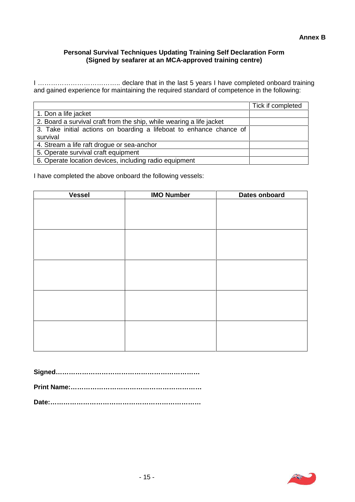#### **Personal Survival Techniques Updating Training Self Declaration Form (Signed by seafarer at an MCA-approved training centre)**

I ……………………………….. declare that in the last 5 years I have completed onboard training and gained experience for maintaining the required standard of competence in the following:

|                                                                      | Tick if completed |
|----------------------------------------------------------------------|-------------------|
| 1. Don a life jacket                                                 |                   |
| 2. Board a survival craft from the ship, while wearing a life jacket |                   |
| 3. Take initial actions on boarding a lifeboat to enhance chance of  |                   |
| survival                                                             |                   |
| 4. Stream a life raft drogue or sea-anchor                           |                   |
| 5. Operate survival craft equipment                                  |                   |
| 6. Operate location devices, including radio equipment               |                   |

I have completed the above onboard the following vessels:

| <b>Vessel</b> | <b>IMO Number</b> | Dates onboard |
|---------------|-------------------|---------------|
|               |                   |               |
|               |                   |               |
|               |                   |               |
|               |                   |               |
|               |                   |               |
|               |                   |               |
|               |                   |               |
|               |                   |               |
|               |                   |               |
|               |                   |               |
|               |                   |               |
|               |                   |               |
|               |                   |               |
|               |                   |               |
|               |                   |               |
|               |                   |               |
|               |                   |               |

**Signed…………………………………………………………**

**Print Name:……………………………………………………**

**Date:……………………………………………………………**

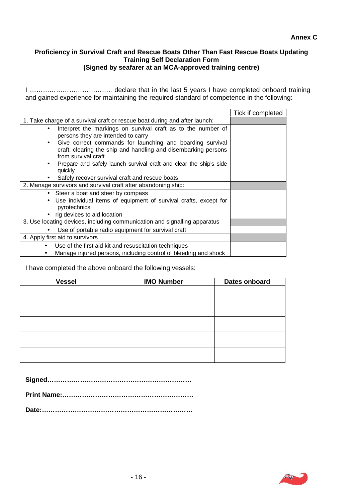#### **Proficiency in Survival Craft and Rescue Boats Other Than Fast Rescue Boats Updating Training Self Declaration Form (Signed by seafarer at an MCA-approved training centre)**

I ……………………………….. declare that in the last 5 years I have completed onboard training and gained experience for maintaining the required standard of competence in the following:

|                                                                                                                                                                 | Tick if completed |
|-----------------------------------------------------------------------------------------------------------------------------------------------------------------|-------------------|
| 1. Take charge of a survival craft or rescue boat during and after launch:                                                                                      |                   |
| Interpret the markings on survival craft as to the number of<br>$\bullet$<br>persons they are intended to carry                                                 |                   |
| Give correct commands for launching and boarding survival<br>$\bullet$<br>craft, clearing the ship and handling and disembarking persons<br>from survival craft |                   |
| Prepare and safely launch survival craft and clear the ship's side<br>quickly                                                                                   |                   |
| Safely recover survival craft and rescue boats                                                                                                                  |                   |
| 2. Manage survivors and survival craft after abandoning ship:                                                                                                   |                   |
| • Steer a boat and steer by compass                                                                                                                             |                   |
| Use individual items of equipment of survival crafts, except for<br>$\bullet$<br>pyrotechnics                                                                   |                   |
| rig devices to aid location                                                                                                                                     |                   |
| 3. Use locating devices, including communication and signalling apparatus                                                                                       |                   |
| Use of portable radio equipment for survival craft<br>$\bullet$                                                                                                 |                   |
| 4. Apply first aid to survivors                                                                                                                                 |                   |
| Use of the first aid kit and resuscitation techniques                                                                                                           |                   |
| Manage injured persons, including control of bleeding and shock                                                                                                 |                   |

I have completed the above onboard the following vessels:

| <b>Vessel</b> | <b>IMO Number</b> | <b>Dates onboard</b> |
|---------------|-------------------|----------------------|
|               |                   |                      |
|               |                   |                      |
|               |                   |                      |
|               |                   |                      |
|               |                   |                      |
|               |                   |                      |
|               |                   |                      |
|               |                   |                      |
|               |                   |                      |
|               |                   |                      |

|--|--|

**Print Name:……………………………………………………**



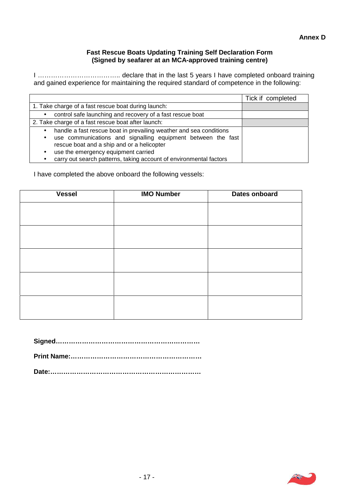#### **Fast Rescue Boats Updating Training Self Declaration Form (Signed by seafarer at an MCA-approved training centre)**

I ……………………………….. declare that in the last 5 years I have completed onboard training and gained experience for maintaining the required standard of competence in the following:

|                                                                                                                                                                                                            | Tick if completed |
|------------------------------------------------------------------------------------------------------------------------------------------------------------------------------------------------------------|-------------------|
| 1. Take charge of a fast rescue boat during launch:                                                                                                                                                        |                   |
| control safe launching and recovery of a fast rescue boat<br>$\bullet$                                                                                                                                     |                   |
| 2. Take charge of a fast rescue boat after launch:                                                                                                                                                         |                   |
| handle a fast rescue boat in prevailing weather and sea conditions<br>$\bullet$<br>use communications and signalling equipment between the fast<br>$\bullet$<br>rescue boat and a ship and or a helicopter |                   |
| use the emergency equipment carried<br>$\bullet$                                                                                                                                                           |                   |
| carry out search patterns, taking account of environmental factors                                                                                                                                         |                   |

I have completed the above onboard the following vessels:

| <b>Vessel</b> | <b>IMO Number</b> | Dates onboard |
|---------------|-------------------|---------------|
|               |                   |               |
|               |                   |               |
|               |                   |               |
|               |                   |               |
|               |                   |               |
|               |                   |               |
|               |                   |               |
|               |                   |               |
|               |                   |               |
|               |                   |               |

**Signed…………………………………………………………**

**Print Name:……………………………………………………**

**Date:……………………………………………………………**

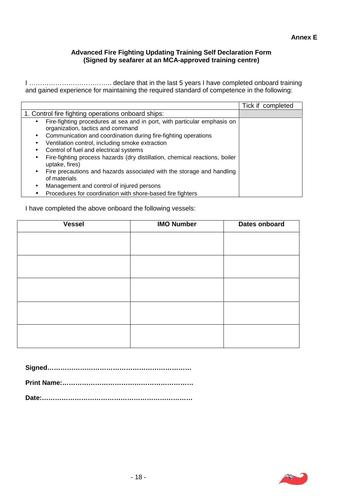#### **Advanced Fire Fighting Updating Training Self Declaration Form (Signed by seafarer at an MCA-approved training centre)**

I ……………………………….. declare that in the last 5 years I have completed onboard training and gained experience for maintaining the required standard of competence in the following:

|                                                                                                                            | Tick if completed |  |
|----------------------------------------------------------------------------------------------------------------------------|-------------------|--|
| 1. Control fire fighting operations onboard ships:                                                                         |                   |  |
| Fire-fighting procedures at sea and in port, with particular emphasis on<br>$\bullet$<br>organization, tactics and command |                   |  |
| Communication and coordination during fire-fighting operations<br>$\bullet$                                                |                   |  |
| Ventilation control, including smoke extraction<br>$\bullet$                                                               |                   |  |
| Control of fuel and electrical systems<br>$\bullet$                                                                        |                   |  |
| Fire-fighting process hazards (dry distillation, chemical reactions, boiler<br>$\bullet$<br>uptake, fires)                 |                   |  |
| Fire precautions and hazards associated with the storage and handling<br>$\bullet$<br>of materials                         |                   |  |
| Management and control of injured persons<br>٠                                                                             |                   |  |
| Procedures for coordination with shore-based fire fighters                                                                 |                   |  |

I have completed the above onboard the following vessels:

| <b>Vessel</b> | <b>IMO Number</b> | Dates onboard |
|---------------|-------------------|---------------|
|               |                   |               |
|               |                   |               |
|               |                   |               |
|               |                   |               |
|               |                   |               |
|               |                   |               |
|               |                   |               |
|               |                   |               |
|               |                   |               |
|               |                   |               |

**Signed…………………………………………………………**

**Print Name:……………………………………………………**

**Date:……………………………………………………………**

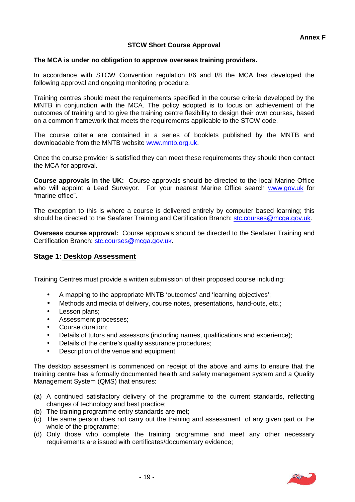#### **STCW Short Course Approval**

#### **The MCA is under no obligation to approve overseas training providers.**

In accordance with STCW Convention regulation I/6 and I/8 the MCA has developed the following approval and ongoing monitoring procedure.

Training centres should meet the requirements specified in the course criteria developed by the MNTB in conjunction with the MCA. The policy adopted is to focus on achievement of the outcomes of training and to give the training centre flexibility to design their own courses, based on a common framework that meets the requirements applicable to the STCW code.

The course criteria are contained in a series of booklets published by the MNTB and downloadable from the MNTB website www.mntb.org.uk.

Once the course provider is satisfied they can meet these requirements they should then contact the MCA for approval.

**Course approvals in the UK:** Course approvals should be directed to the local Marine Office who will appoint a Lead Surveyor. For your nearest Marine Office search www.gov.uk for "marine office".

The exception to this is where a course is delivered entirely by computer based learning; this should be directed to the Seafarer Training and Certification Branch: stc.courses@mcga.gov.uk.

**Overseas course approval:** Course approvals should be directed to the Seafarer Training and Certification Branch: stc.courses@mcga.gov.uk.

#### **Stage 1: Desktop Assessment**

Training Centres must provide a written submission of their proposed course including:

- A mapping to the appropriate MNTB 'outcomes' and 'learning objectives';
- Methods and media of delivery, course notes, presentations, hand-outs, etc.;
- Lesson plans:
- Assessment processes;
- Course duration;
- Details of tutors and assessors (including names, qualifications and experience);
- Details of the centre's quality assurance procedures;
- Description of the venue and equipment.

The desktop assessment is commenced on receipt of the above and aims to ensure that the training centre has a formally documented health and safety management system and a Quality Management System (QMS) that ensures:

- (a) A continued satisfactory delivery of the programme to the current standards, reflecting changes of technology and best practice;
- (b) The training programme entry standards are met;
- (c) The same person does not carry out the training and assessment of any given part or the whole of the programme;
- (d) Only those who complete the training programme and meet any other necessary requirements are issued with certificates/documentary evidence;

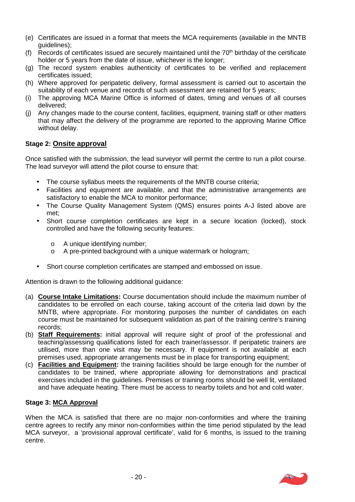- (e) Certificates are issued in a format that meets the MCA requirements (available in the MNTB guidelines);
- (f) Records of certificates issued are securely maintained until the  $70<sup>th</sup>$  birthday of the certificate holder or 5 years from the date of issue, whichever is the longer;
- (g) The record system enables authenticity of certificates to be verified and replacement certificates issued;
- (h) Where approved for peripatetic delivery, formal assessment is carried out to ascertain the suitability of each venue and records of such assessment are retained for 5 years;
- (i) The approving MCA Marine Office is informed of dates, timing and venues of all courses delivered;
- (j) Any changes made to the course content, facilities, equipment, training staff or other matters that may affect the delivery of the programme are reported to the approving Marine Office without delay.

#### **Stage 2: Onsite approval**

Once satisfied with the submission, the lead surveyor will permit the centre to run a pilot course. The lead surveyor will attend the pilot course to ensure that:

- The course syllabus meets the requirements of the MNTB course criteria;
- Facilities and equipment are available, and that the administrative arrangements are satisfactory to enable the MCA to monitor performance;
- The Course Quality Management System (QMS) ensures points A-J listed above are met;
- Short course completion certificates are kept in a secure location (locked), stock controlled and have the following security features:
	- o A unique identifying number;
	- o A pre-printed background with a unique watermark or hologram;
- Short course completion certificates are stamped and embossed on issue.

Attention is drawn to the following additional guidance:

- (a) **Course Intake Limitations:** Course documentation should include the maximum number of candidates to be enrolled on each course, taking account of the criteria laid down by the MNTB, where appropriate. For monitoring purposes the number of candidates on each course must be maintained for subsequent validation as part of the training centre's training records;
- (b) **Staff Requirements:** initial approval will require sight of proof of the professional and teaching/assessing qualifications listed for each trainer/assessor. If peripatetic trainers are utilised, more than one visit may be necessary. If equipment is not available at each premises used, appropriate arrangements must be in place for transporting equipment;
- (c) **Facilities and Equipment:** the training facilities should be large enough for the number of candidates to be trained, where appropriate allowing for demonstrations and practical exercises included in the guidelines. Premises or training rooms should be well lit, ventilated and have adequate heating. There must be access to nearby toilets and hot and cold water.

#### **Stage 3: MCA Approval**

When the MCA is satisfied that there are no major non-conformities and where the training centre agrees to rectify any minor non-conformities within the time period stipulated by the lead MCA surveyor, a 'provisional approval certificate', valid for 6 months, is issued to the training centre.

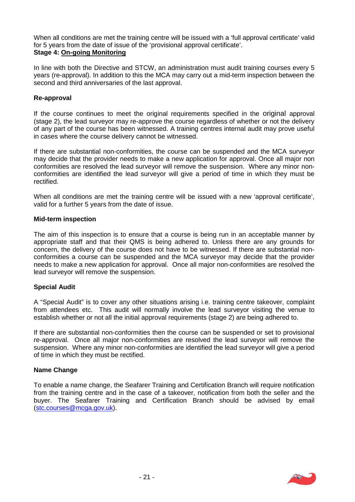When all conditions are met the training centre will be issued with a 'full approval certificate' valid for 5 years from the date of issue of the 'provisional approval certificate'. **Stage 4: On-going Monitoring**

In line with both the Directive and STCW, an administration must audit training courses every 5 years (re-approval). In addition to this the MCA may carry out a mid-term inspection between the second and third anniversaries of the last approval.

#### **Re-approval**

If the course continues to meet the original requirements specified in the original approval (stage 2), the lead surveyor may re-approve the course regardless of whether or not the delivery of any part of the course has been witnessed. A training centres internal audit may prove useful in cases where the course delivery cannot be witnessed.

If there are substantial non-conformities, the course can be suspended and the MCA surveyor may decide that the provider needs to make a new application for approval. Once all major non conformities are resolved the lead surveyor will remove the suspension. Where any minor non conformities are identified the lead surveyor will give a period of time in which they must be rectified.

When all conditions are met the training centre will be issued with a new 'approval certificate', valid for a further 5 years from the date of issue.

#### **Mid-term inspection**

The aim of this inspection is to ensure that a course is being run in an acceptable manner by appropriate staff and that their QMS is being adhered to. Unless there are any grounds for concern, the delivery of the course does not have to be witnessed. If there are substantial non conformities a course can be suspended and the MCA surveyor may decide that the provider needs to make a new application for approval. Once all major non-conformities are resolved the lead surveyor will remove the suspension.

#### **Special Audit**

A "Special Audit" is to cover any other situations arising i.e. training centre takeover, complaint from attendees etc. This audit will normally involve the lead surveyor visiting the venue to establish whether or not all the initial approval requirements (stage 2) are being adhered to.

If there are substantial non-conformities then the course can be suspended or set to provisional re-approval. Once all major non-conformities are resolved the lead surveyor will remove the suspension. Where any minor non-conformities are identified the lead surveyor will give a period of time in which they must be rectified.

#### **Name Change**

To enable a name change, the Seafarer Training and Certification Branch will require notification from the training centre and in the case of a takeover, notification from both the seller and the buyer. The Seafarer Training and Certification Branch should be advised by email (stc.courses@mcga.gov.uk).